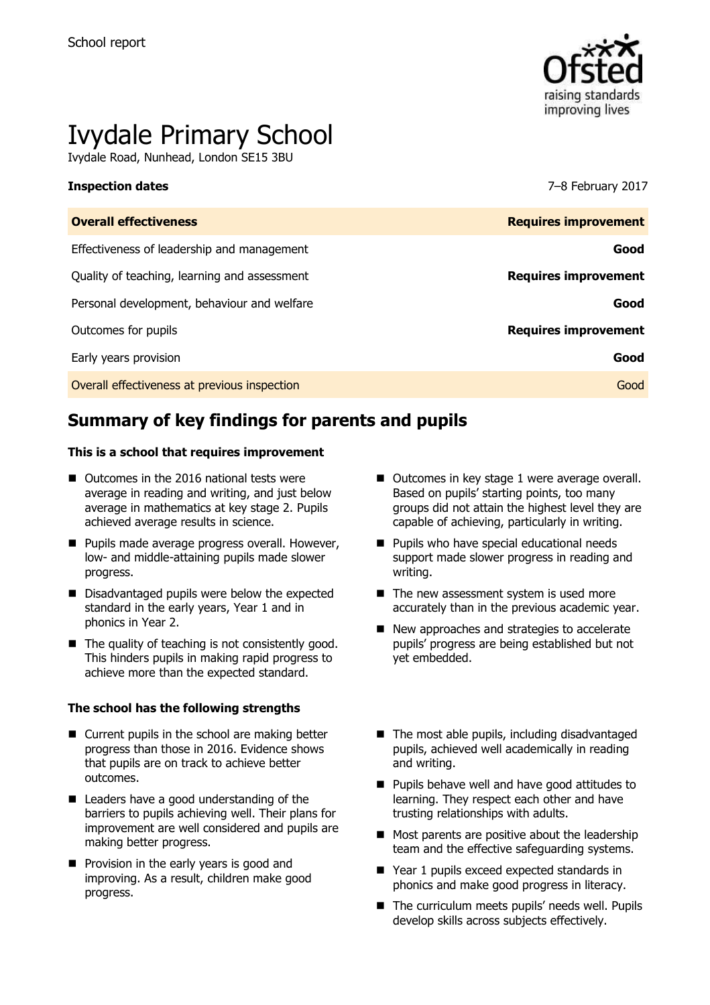

# Ivydale Primary School

Ivydale Road, Nunhead, London SE15 3BU

### **Inspection dates** 7–8 February 2017

| <b>Overall effectiveness</b>                 | <b>Requires improvement</b> |
|----------------------------------------------|-----------------------------|
| Effectiveness of leadership and management   | Good                        |
| Quality of teaching, learning and assessment | <b>Requires improvement</b> |
| Personal development, behaviour and welfare  | Good                        |
| Outcomes for pupils                          | <b>Requires improvement</b> |
| Early years provision                        | Good                        |
| Overall effectiveness at previous inspection | Good                        |
|                                              |                             |

# **Summary of key findings for parents and pupils**

### **This is a school that requires improvement**

- Outcomes in the 2016 national tests were average in reading and writing, and just below average in mathematics at key stage 2. Pupils achieved average results in science.
- **Pupils made average progress overall. However,** low- and middle-attaining pupils made slower progress.
- Disadvantaged pupils were below the expected standard in the early years, Year 1 and in phonics in Year 2.
- $\blacksquare$  The quality of teaching is not consistently good. This hinders pupils in making rapid progress to achieve more than the expected standard.

### **The school has the following strengths**

- Current pupils in the school are making better progress than those in 2016. Evidence shows that pupils are on track to achieve better outcomes.
- Leaders have a good understanding of the barriers to pupils achieving well. Their plans for improvement are well considered and pupils are making better progress.
- **Provision in the early years is good and** improving. As a result, children make good progress.
- Outcomes in key stage 1 were average overall. Based on pupils' starting points, too many groups did not attain the highest level they are capable of achieving, particularly in writing.
- **Pupils who have special educational needs** support made slower progress in reading and writing.
- The new assessment system is used more accurately than in the previous academic year.
- New approaches and strategies to accelerate pupils' progress are being established but not yet embedded.
- The most able pupils, including disadvantaged pupils, achieved well academically in reading and writing.
- **Pupils behave well and have good attitudes to** learning. They respect each other and have trusting relationships with adults.
- Most parents are positive about the leadership team and the effective safeguarding systems.
- Year 1 pupils exceed expected standards in phonics and make good progress in literacy.
- The curriculum meets pupils' needs well. Pupils develop skills across subjects effectively.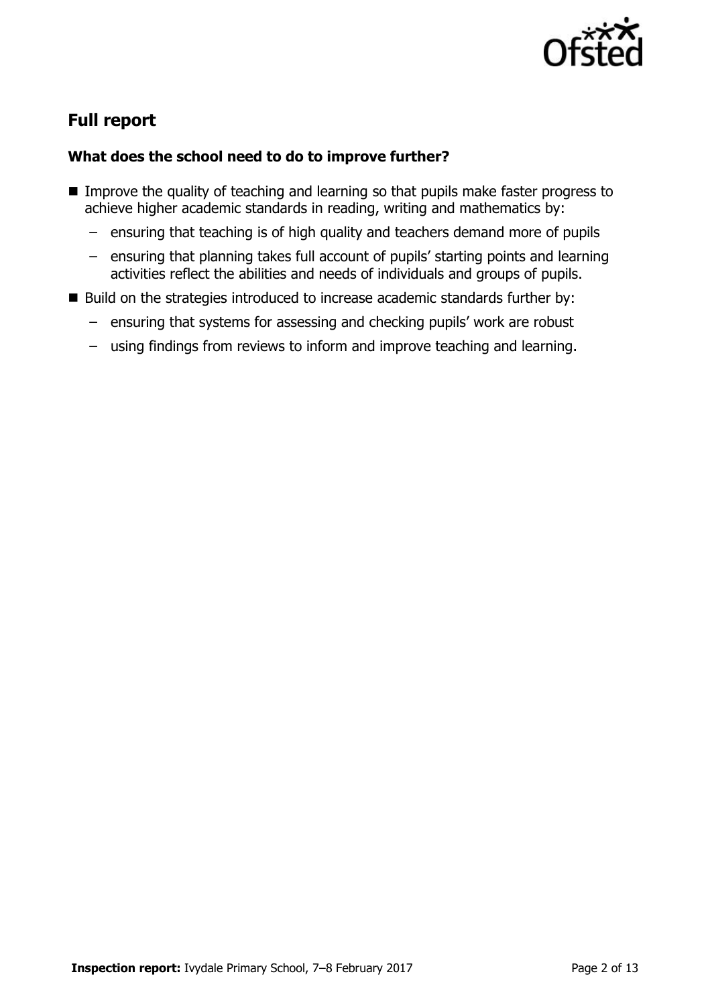

# **Full report**

### **What does the school need to do to improve further?**

- **IMPROVE THE QUALITY OF TEACHING AND LEARNING SO THAT PUPILS MAKE FASTER PROGRESS TO** achieve higher academic standards in reading, writing and mathematics by:
	- ensuring that teaching is of high quality and teachers demand more of pupils
	- ensuring that planning takes full account of pupils' starting points and learning activities reflect the abilities and needs of individuals and groups of pupils.
- Build on the strategies introduced to increase academic standards further by:
	- ensuring that systems for assessing and checking pupils' work are robust
	- using findings from reviews to inform and improve teaching and learning.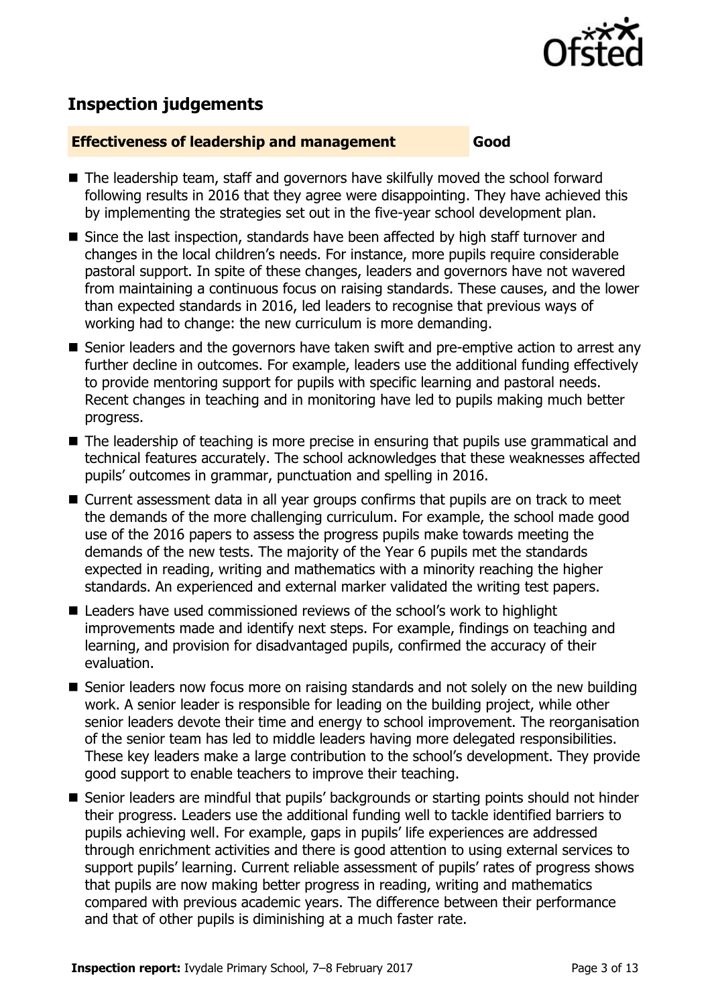

# **Inspection judgements**

### **Effectiveness of leadership and management Good**

- The leadership team, staff and governors have skilfully moved the school forward following results in 2016 that they agree were disappointing. They have achieved this by implementing the strategies set out in the five-year school development plan.
- Since the last inspection, standards have been affected by high staff turnover and changes in the local children's needs. For instance, more pupils require considerable pastoral support. In spite of these changes, leaders and governors have not wavered from maintaining a continuous focus on raising standards. These causes, and the lower than expected standards in 2016, led leaders to recognise that previous ways of working had to change: the new curriculum is more demanding.
- Senior leaders and the governors have taken swift and pre-emptive action to arrest any further decline in outcomes. For example, leaders use the additional funding effectively to provide mentoring support for pupils with specific learning and pastoral needs. Recent changes in teaching and in monitoring have led to pupils making much better progress.
- The leadership of teaching is more precise in ensuring that pupils use grammatical and technical features accurately. The school acknowledges that these weaknesses affected pupils' outcomes in grammar, punctuation and spelling in 2016.
- Current assessment data in all year groups confirms that pupils are on track to meet the demands of the more challenging curriculum. For example, the school made good use of the 2016 papers to assess the progress pupils make towards meeting the demands of the new tests. The majority of the Year 6 pupils met the standards expected in reading, writing and mathematics with a minority reaching the higher standards. An experienced and external marker validated the writing test papers.
- Leaders have used commissioned reviews of the school's work to highlight improvements made and identify next steps. For example, findings on teaching and learning, and provision for disadvantaged pupils, confirmed the accuracy of their evaluation.
- Senior leaders now focus more on raising standards and not solely on the new building work. A senior leader is responsible for leading on the building project, while other senior leaders devote their time and energy to school improvement. The reorganisation of the senior team has led to middle leaders having more delegated responsibilities. These key leaders make a large contribution to the school's development. They provide good support to enable teachers to improve their teaching.
- Senior leaders are mindful that pupils' backgrounds or starting points should not hinder their progress. Leaders use the additional funding well to tackle identified barriers to pupils achieving well. For example, gaps in pupils' life experiences are addressed through enrichment activities and there is good attention to using external services to support pupils' learning. Current reliable assessment of pupils' rates of progress shows that pupils are now making better progress in reading, writing and mathematics compared with previous academic years. The difference between their performance and that of other pupils is diminishing at a much faster rate.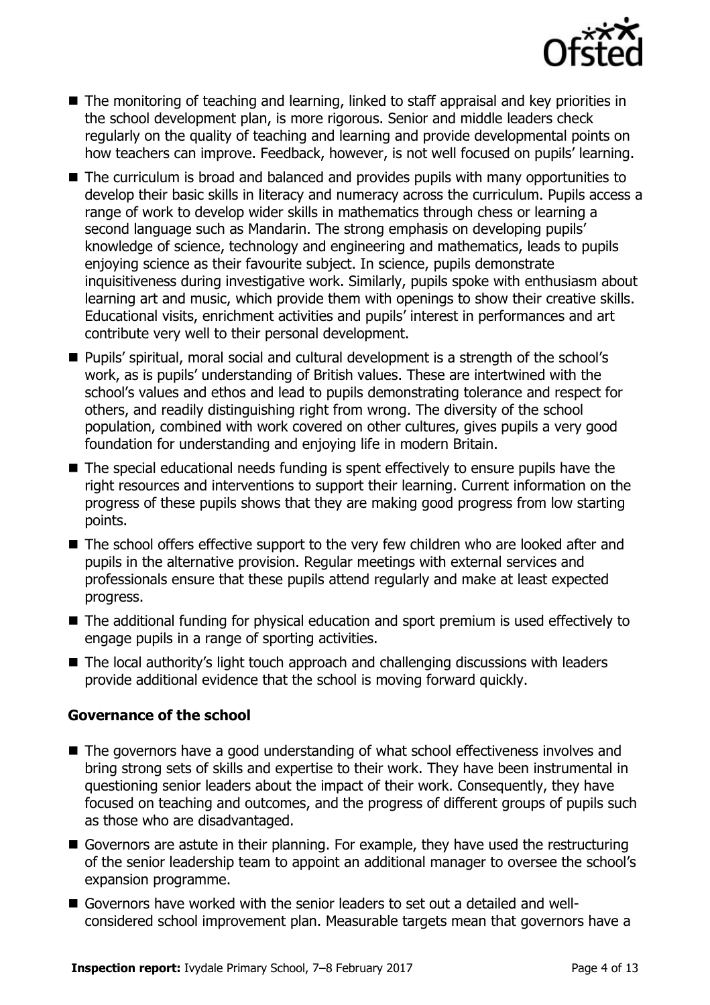

- The monitoring of teaching and learning, linked to staff appraisal and key priorities in the school development plan, is more rigorous. Senior and middle leaders check regularly on the quality of teaching and learning and provide developmental points on how teachers can improve. Feedback, however, is not well focused on pupils' learning.
- The curriculum is broad and balanced and provides pupils with many opportunities to develop their basic skills in literacy and numeracy across the curriculum. Pupils access a range of work to develop wider skills in mathematics through chess or learning a second language such as Mandarin. The strong emphasis on developing pupils' knowledge of science, technology and engineering and mathematics, leads to pupils enjoying science as their favourite subject. In science, pupils demonstrate inquisitiveness during investigative work. Similarly, pupils spoke with enthusiasm about learning art and music, which provide them with openings to show their creative skills. Educational visits, enrichment activities and pupils' interest in performances and art contribute very well to their personal development.
- Pupils' spiritual, moral social and cultural development is a strength of the school's work, as is pupils' understanding of British values. These are intertwined with the school's values and ethos and lead to pupils demonstrating tolerance and respect for others, and readily distinguishing right from wrong. The diversity of the school population, combined with work covered on other cultures, gives pupils a very good foundation for understanding and enjoying life in modern Britain.
- The special educational needs funding is spent effectively to ensure pupils have the right resources and interventions to support their learning. Current information on the progress of these pupils shows that they are making good progress from low starting points.
- The school offers effective support to the very few children who are looked after and pupils in the alternative provision. Regular meetings with external services and professionals ensure that these pupils attend regularly and make at least expected progress.
- The additional funding for physical education and sport premium is used effectively to engage pupils in a range of sporting activities.
- The local authority's light touch approach and challenging discussions with leaders provide additional evidence that the school is moving forward quickly.

### **Governance of the school**

- The governors have a good understanding of what school effectiveness involves and bring strong sets of skills and expertise to their work. They have been instrumental in questioning senior leaders about the impact of their work. Consequently, they have focused on teaching and outcomes, and the progress of different groups of pupils such as those who are disadvantaged.
- Governors are astute in their planning. For example, they have used the restructuring of the senior leadership team to appoint an additional manager to oversee the school's expansion programme.
- Governors have worked with the senior leaders to set out a detailed and wellconsidered school improvement plan. Measurable targets mean that governors have a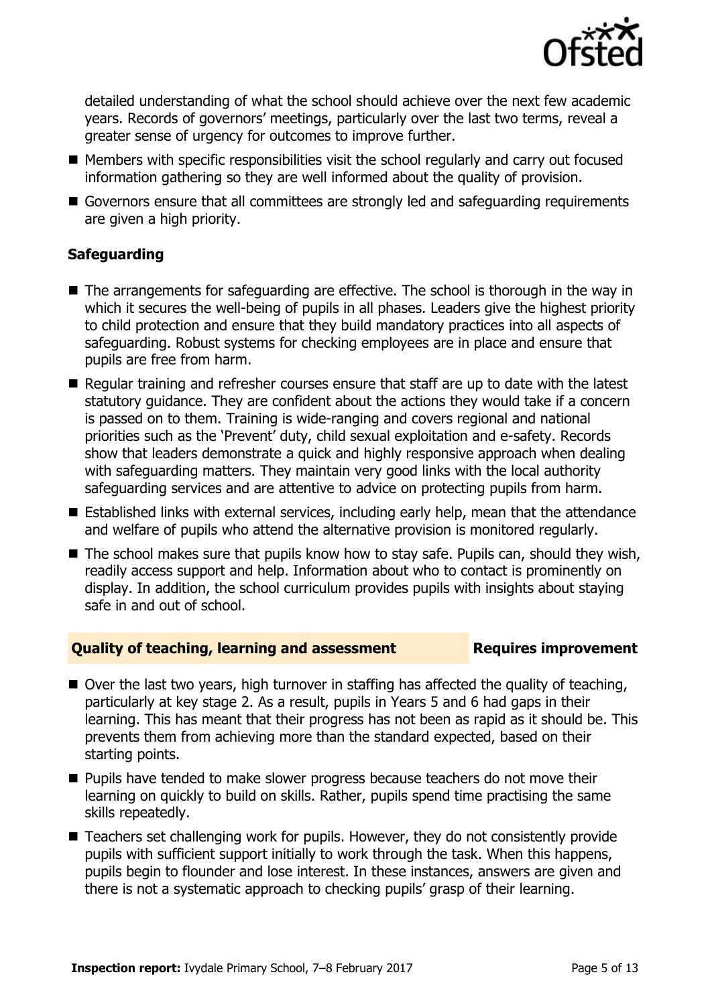

detailed understanding of what the school should achieve over the next few academic years. Records of governors' meetings, particularly over the last two terms, reveal a greater sense of urgency for outcomes to improve further.

- Members with specific responsibilities visit the school regularly and carry out focused information gathering so they are well informed about the quality of provision.
- Governors ensure that all committees are strongly led and safeguarding requirements are given a high priority.

### **Safeguarding**

- The arrangements for safeguarding are effective. The school is thorough in the way in which it secures the well-being of pupils in all phases. Leaders give the highest priority to child protection and ensure that they build mandatory practices into all aspects of safeguarding. Robust systems for checking employees are in place and ensure that pupils are free from harm.
- Regular training and refresher courses ensure that staff are up to date with the latest statutory guidance. They are confident about the actions they would take if a concern is passed on to them. Training is wide-ranging and covers regional and national priorities such as the 'Prevent' duty, child sexual exploitation and e-safety. Records show that leaders demonstrate a quick and highly responsive approach when dealing with safeguarding matters. They maintain very good links with the local authority safeguarding services and are attentive to advice on protecting pupils from harm.
- Established links with external services, including early help, mean that the attendance and welfare of pupils who attend the alternative provision is monitored regularly.
- $\blacksquare$  The school makes sure that pupils know how to stay safe. Pupils can, should they wish, readily access support and help. Information about who to contact is prominently on display. In addition, the school curriculum provides pupils with insights about staying safe in and out of school.

### **Quality of teaching, learning and assessment France Requires improvement**

- Over the last two years, high turnover in staffing has affected the quality of teaching, particularly at key stage 2. As a result, pupils in Years 5 and 6 had gaps in their learning. This has meant that their progress has not been as rapid as it should be. This prevents them from achieving more than the standard expected, based on their starting points.
- **Pupils have tended to make slower progress because teachers do not move their** learning on quickly to build on skills. Rather, pupils spend time practising the same skills repeatedly.
- Teachers set challenging work for pupils. However, they do not consistently provide pupils with sufficient support initially to work through the task. When this happens, pupils begin to flounder and lose interest. In these instances, answers are given and there is not a systematic approach to checking pupils' grasp of their learning.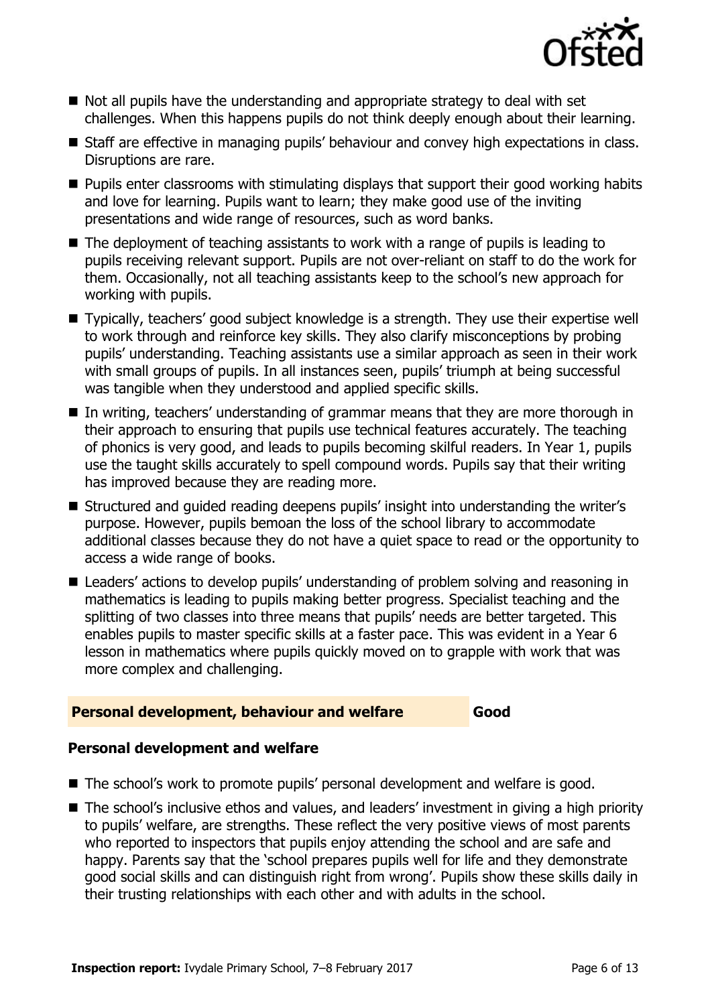

- Not all pupils have the understanding and appropriate strategy to deal with set challenges. When this happens pupils do not think deeply enough about their learning.
- Staff are effective in managing pupils' behaviour and convey high expectations in class. Disruptions are rare.
- $\blacksquare$  Pupils enter classrooms with stimulating displays that support their good working habits and love for learning. Pupils want to learn; they make good use of the inviting presentations and wide range of resources, such as word banks.
- The deployment of teaching assistants to work with a range of pupils is leading to pupils receiving relevant support. Pupils are not over-reliant on staff to do the work for them. Occasionally, not all teaching assistants keep to the school's new approach for working with pupils.
- Typically, teachers' good subject knowledge is a strength. They use their expertise well to work through and reinforce key skills. They also clarify misconceptions by probing pupils' understanding. Teaching assistants use a similar approach as seen in their work with small groups of pupils. In all instances seen, pupils' triumph at being successful was tangible when they understood and applied specific skills.
- In writing, teachers' understanding of grammar means that they are more thorough in their approach to ensuring that pupils use technical features accurately. The teaching of phonics is very good, and leads to pupils becoming skilful readers. In Year 1, pupils use the taught skills accurately to spell compound words. Pupils say that their writing has improved because they are reading more.
- Structured and guided reading deepens pupils' insight into understanding the writer's purpose. However, pupils bemoan the loss of the school library to accommodate additional classes because they do not have a quiet space to read or the opportunity to access a wide range of books.
- Leaders' actions to develop pupils' understanding of problem solving and reasoning in mathematics is leading to pupils making better progress. Specialist teaching and the splitting of two classes into three means that pupils' needs are better targeted. This enables pupils to master specific skills at a faster pace. This was evident in a Year 6 lesson in mathematics where pupils quickly moved on to grapple with work that was more complex and challenging.

### **Personal development, behaviour and welfare Good**

### **Personal development and welfare**

- The school's work to promote pupils' personal development and welfare is good.
- The school's inclusive ethos and values, and leaders' investment in giving a high priority to pupils' welfare, are strengths. These reflect the very positive views of most parents who reported to inspectors that pupils enjoy attending the school and are safe and happy. Parents say that the 'school prepares pupils well for life and they demonstrate good social skills and can distinguish right from wrong'. Pupils show these skills daily in their trusting relationships with each other and with adults in the school.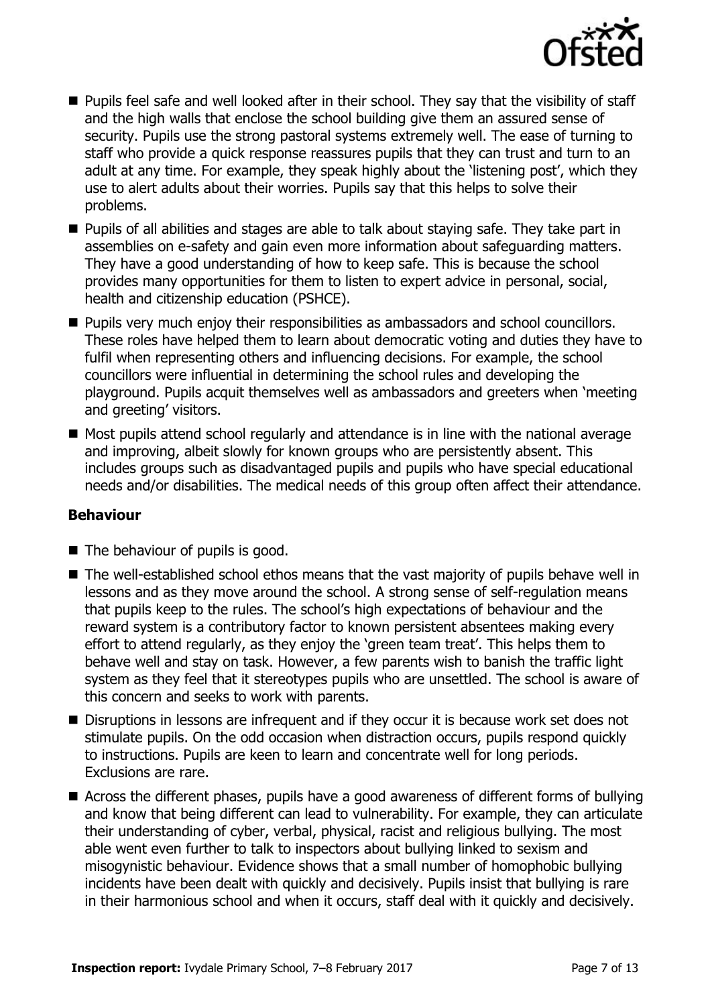

- **Pupils feel safe and well looked after in their school. They say that the visibility of staff** and the high walls that enclose the school building give them an assured sense of security. Pupils use the strong pastoral systems extremely well. The ease of turning to staff who provide a quick response reassures pupils that they can trust and turn to an adult at any time. For example, they speak highly about the 'listening post', which they use to alert adults about their worries. Pupils say that this helps to solve their problems.
- **Pupils of all abilities and stages are able to talk about staying safe. They take part in** assemblies on e-safety and gain even more information about safeguarding matters. They have a good understanding of how to keep safe. This is because the school provides many opportunities for them to listen to expert advice in personal, social, health and citizenship education (PSHCE).
- **Pupils very much enjoy their responsibilities as ambassadors and school councillors.** These roles have helped them to learn about democratic voting and duties they have to fulfil when representing others and influencing decisions. For example, the school councillors were influential in determining the school rules and developing the playground. Pupils acquit themselves well as ambassadors and greeters when 'meeting and greeting' visitors.
- Most pupils attend school regularly and attendance is in line with the national average and improving, albeit slowly for known groups who are persistently absent. This includes groups such as disadvantaged pupils and pupils who have special educational needs and/or disabilities. The medical needs of this group often affect their attendance.

### **Behaviour**

- $\blacksquare$  The behaviour of pupils is good.
- The well-established school ethos means that the vast majority of pupils behave well in lessons and as they move around the school. A strong sense of self-regulation means that pupils keep to the rules. The school's high expectations of behaviour and the reward system is a contributory factor to known persistent absentees making every effort to attend regularly, as they enjoy the 'green team treat'. This helps them to behave well and stay on task. However, a few parents wish to banish the traffic light system as they feel that it stereotypes pupils who are unsettled. The school is aware of this concern and seeks to work with parents.
- Disruptions in lessons are infrequent and if they occur it is because work set does not stimulate pupils. On the odd occasion when distraction occurs, pupils respond quickly to instructions. Pupils are keen to learn and concentrate well for long periods. Exclusions are rare.
- Across the different phases, pupils have a good awareness of different forms of bullying and know that being different can lead to vulnerability. For example, they can articulate their understanding of cyber, verbal, physical, racist and religious bullying. The most able went even further to talk to inspectors about bullying linked to sexism and misogynistic behaviour. Evidence shows that a small number of homophobic bullying incidents have been dealt with quickly and decisively. Pupils insist that bullying is rare in their harmonious school and when it occurs, staff deal with it quickly and decisively.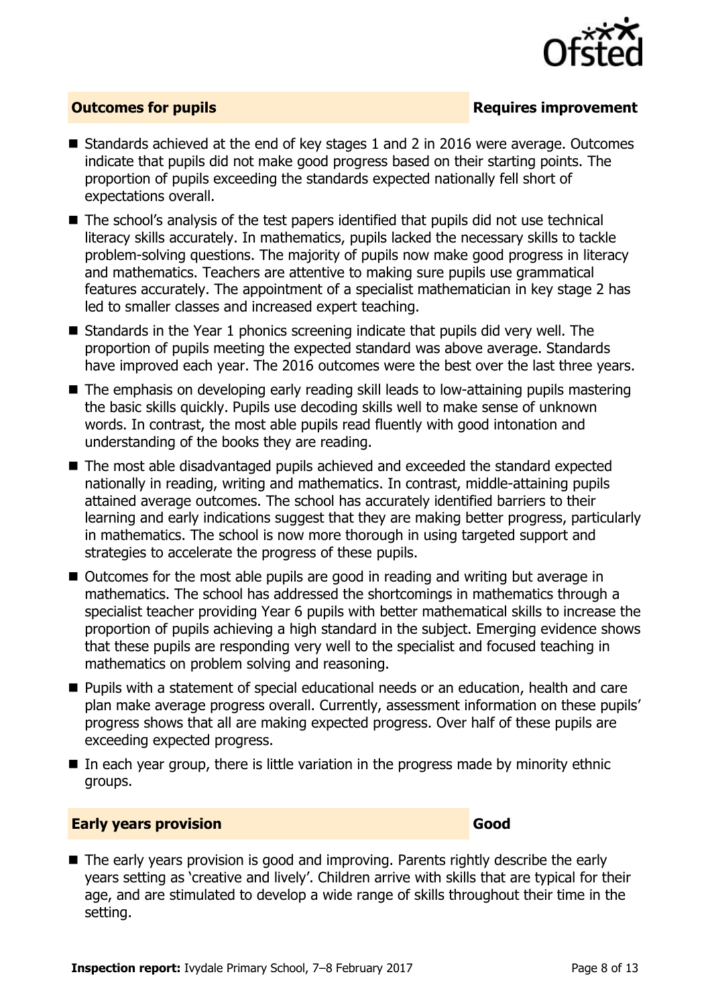

### **Outcomes for pupils Requires improvement**

- Standards achieved at the end of key stages 1 and 2 in 2016 were average. Outcomes indicate that pupils did not make good progress based on their starting points. The proportion of pupils exceeding the standards expected nationally fell short of expectations overall.
- The school's analysis of the test papers identified that pupils did not use technical literacy skills accurately. In mathematics, pupils lacked the necessary skills to tackle problem-solving questions. The majority of pupils now make good progress in literacy and mathematics. Teachers are attentive to making sure pupils use grammatical features accurately. The appointment of a specialist mathematician in key stage 2 has led to smaller classes and increased expert teaching.
- $\blacksquare$  Standards in the Year 1 phonics screening indicate that pupils did very well. The proportion of pupils meeting the expected standard was above average. Standards have improved each year. The 2016 outcomes were the best over the last three years.
- The emphasis on developing early reading skill leads to low-attaining pupils mastering the basic skills quickly. Pupils use decoding skills well to make sense of unknown words. In contrast, the most able pupils read fluently with good intonation and understanding of the books they are reading.
- The most able disadvantaged pupils achieved and exceeded the standard expected nationally in reading, writing and mathematics. In contrast, middle-attaining pupils attained average outcomes. The school has accurately identified barriers to their learning and early indications suggest that they are making better progress, particularly in mathematics. The school is now more thorough in using targeted support and strategies to accelerate the progress of these pupils.
- Outcomes for the most able pupils are good in reading and writing but average in mathematics. The school has addressed the shortcomings in mathematics through a specialist teacher providing Year 6 pupils with better mathematical skills to increase the proportion of pupils achieving a high standard in the subject. Emerging evidence shows that these pupils are responding very well to the specialist and focused teaching in mathematics on problem solving and reasoning.
- **Pupils with a statement of special educational needs or an education, health and care** plan make average progress overall. Currently, assessment information on these pupils' progress shows that all are making expected progress. Over half of these pupils are exceeding expected progress.
- $\blacksquare$  In each vear group, there is little variation in the progress made by minority ethnic groups.

### **Early years provision Good Good**

The early years provision is good and improving. Parents rightly describe the early years setting as 'creative and lively'. Children arrive with skills that are typical for their age, and are stimulated to develop a wide range of skills throughout their time in the setting.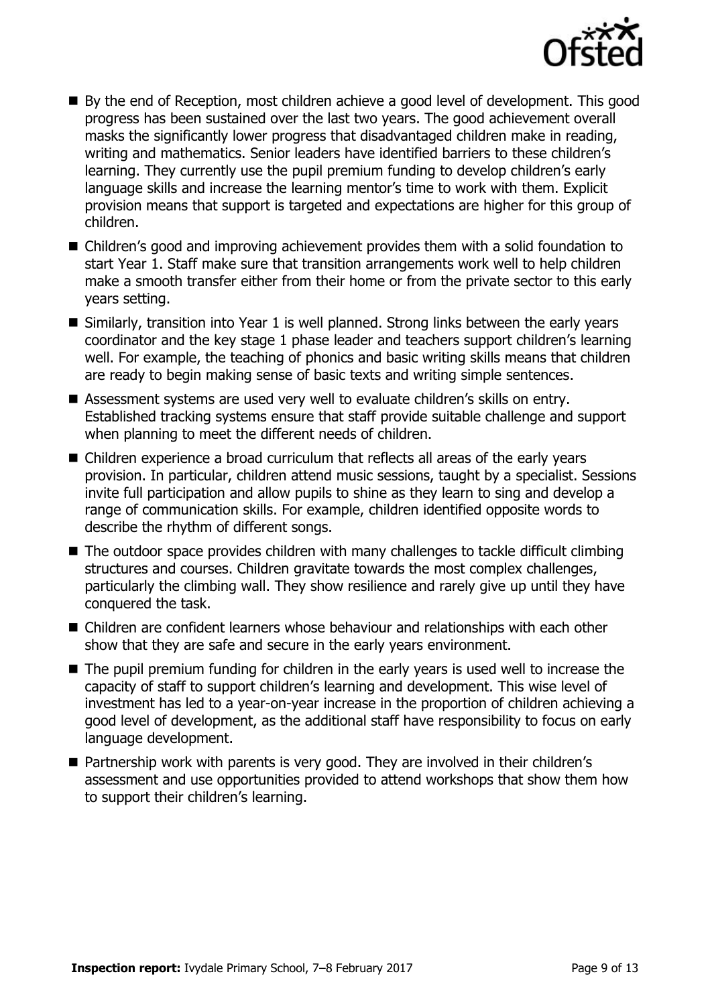

- By the end of Reception, most children achieve a good level of development. This good progress has been sustained over the last two years. The good achievement overall masks the significantly lower progress that disadvantaged children make in reading, writing and mathematics. Senior leaders have identified barriers to these children's learning. They currently use the pupil premium funding to develop children's early language skills and increase the learning mentor's time to work with them. Explicit provision means that support is targeted and expectations are higher for this group of children.
- Children's good and improving achievement provides them with a solid foundation to start Year 1. Staff make sure that transition arrangements work well to help children make a smooth transfer either from their home or from the private sector to this early years setting.
- Similarly, transition into Year 1 is well planned. Strong links between the early years coordinator and the key stage 1 phase leader and teachers support children's learning well. For example, the teaching of phonics and basic writing skills means that children are ready to begin making sense of basic texts and writing simple sentences.
- Assessment systems are used very well to evaluate children's skills on entry. Established tracking systems ensure that staff provide suitable challenge and support when planning to meet the different needs of children.
- Children experience a broad curriculum that reflects all areas of the early years provision. In particular, children attend music sessions, taught by a specialist. Sessions invite full participation and allow pupils to shine as they learn to sing and develop a range of communication skills. For example, children identified opposite words to describe the rhythm of different songs.
- The outdoor space provides children with many challenges to tackle difficult climbing structures and courses. Children gravitate towards the most complex challenges, particularly the climbing wall. They show resilience and rarely give up until they have conquered the task.
- Children are confident learners whose behaviour and relationships with each other show that they are safe and secure in the early years environment.
- The pupil premium funding for children in the early years is used well to increase the capacity of staff to support children's learning and development. This wise level of investment has led to a year-on-year increase in the proportion of children achieving a good level of development, as the additional staff have responsibility to focus on early language development.
- Partnership work with parents is very good. They are involved in their children's assessment and use opportunities provided to attend workshops that show them how to support their children's learning.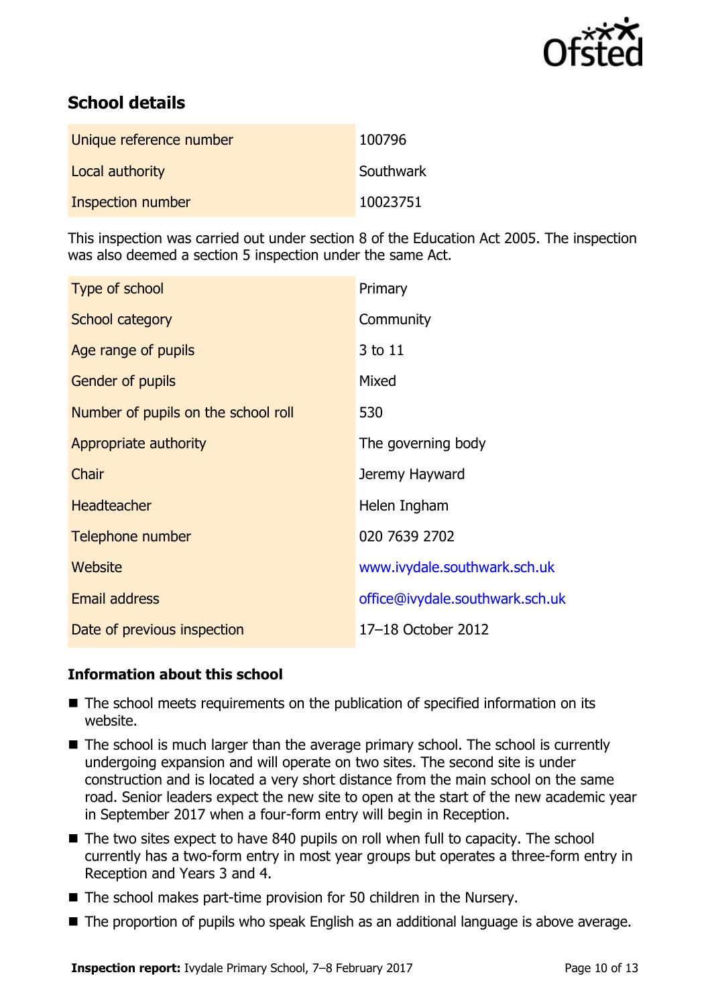

# **School details**

| Unique reference number | 100796    |
|-------------------------|-----------|
| Local authority         | Southwark |
| Inspection number       | 10023751  |

This inspection was carried out under section 8 of the Education Act 2005. The inspection was also deemed a section 5 inspection under the same Act.

| Type of school                      | Primary                         |
|-------------------------------------|---------------------------------|
| School category                     | Community                       |
| Age range of pupils                 | 3 to 11                         |
| <b>Gender of pupils</b>             | Mixed                           |
| Number of pupils on the school roll | 530                             |
| Appropriate authority               | The governing body              |
| Chair                               | Jeremy Hayward                  |
| <b>Headteacher</b>                  | Helen Ingham                    |
| Telephone number                    | 020 7639 2702                   |
| Website                             | www.ivydale.southwark.sch.uk    |
| Email address                       | office@ivydale.southwark.sch.uk |
| Date of previous inspection         | 17-18 October 2012              |

### **Information about this school**

- The school meets requirements on the publication of specified information on its website.
- The school is much larger than the average primary school. The school is currently undergoing expansion and will operate on two sites. The second site is under construction and is located a very short distance from the main school on the same road. Senior leaders expect the new site to open at the start of the new academic year in September 2017 when a four-form entry will begin in Reception.
- The two sites expect to have 840 pupils on roll when full to capacity. The school currently has a two-form entry in most year groups but operates a three-form entry in Reception and Years 3 and 4.
- The school makes part-time provision for 50 children in the Nursery.
- The proportion of pupils who speak English as an additional language is above average.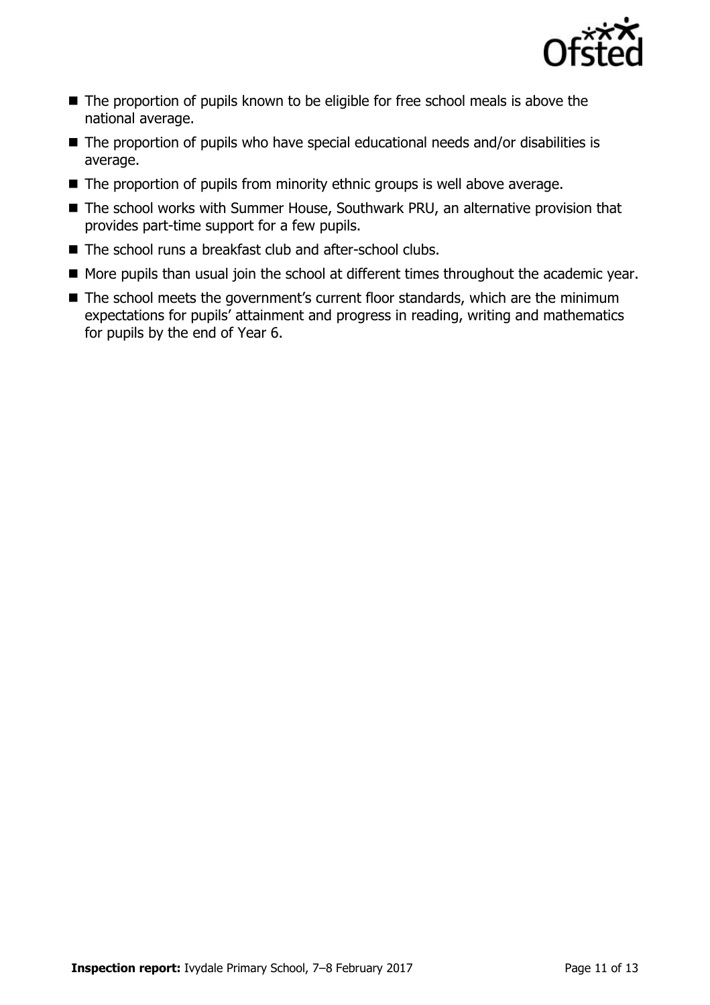

- The proportion of pupils known to be eligible for free school meals is above the national average.
- The proportion of pupils who have special educational needs and/or disabilities is average.
- The proportion of pupils from minority ethnic groups is well above average.
- The school works with Summer House, Southwark PRU, an alternative provision that provides part-time support for a few pupils.
- The school runs a breakfast club and after-school clubs.
- More pupils than usual join the school at different times throughout the academic year.
- The school meets the government's current floor standards, which are the minimum expectations for pupils' attainment and progress in reading, writing and mathematics for pupils by the end of Year 6.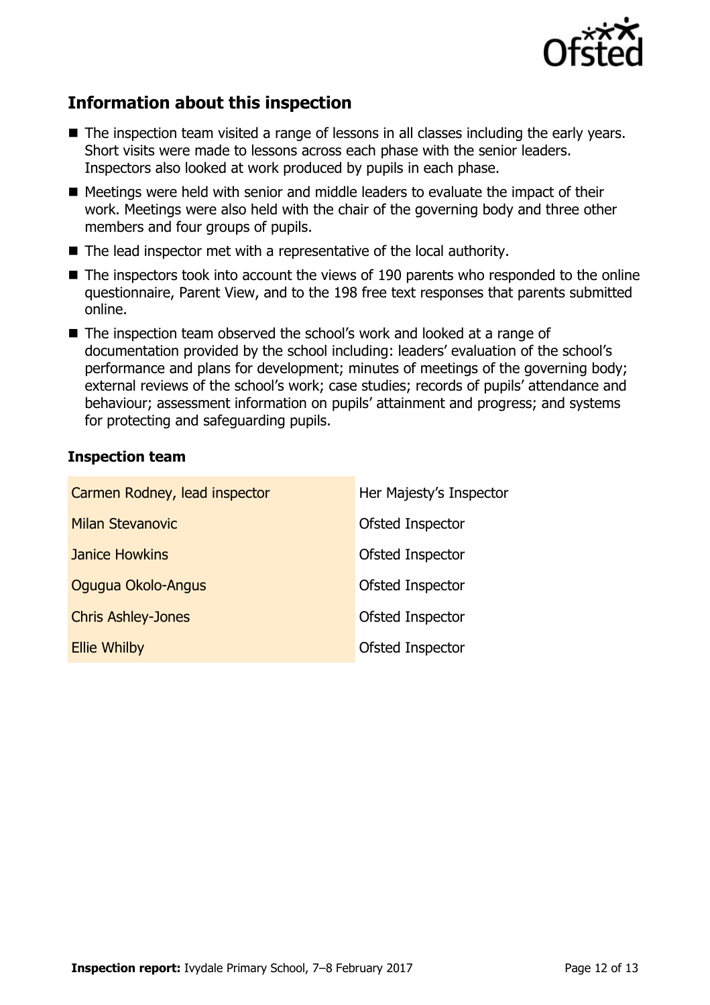

## **Information about this inspection**

- The inspection team visited a range of lessons in all classes including the early years. Short visits were made to lessons across each phase with the senior leaders. Inspectors also looked at work produced by pupils in each phase.
- Meetings were held with senior and middle leaders to evaluate the impact of their work. Meetings were also held with the chair of the governing body and three other members and four groups of pupils.
- The lead inspector met with a representative of the local authority.
- The inspectors took into account the views of 190 parents who responded to the online questionnaire, Parent View, and to the 198 free text responses that parents submitted online.
- The inspection team observed the school's work and looked at a range of documentation provided by the school including: leaders' evaluation of the school's performance and plans for development; minutes of meetings of the governing body; external reviews of the school's work; case studies; records of pupils' attendance and behaviour; assessment information on pupils' attainment and progress; and systems for protecting and safeguarding pupils.

### **Inspection team**

| Carmen Rodney, lead inspector | Her Majesty's Inspector |
|-------------------------------|-------------------------|
| <b>Milan Stevanovic</b>       | Ofsted Inspector        |
| <b>Janice Howkins</b>         | Ofsted Inspector        |
| Ogugua Okolo-Angus            | Ofsted Inspector        |
| <b>Chris Ashley-Jones</b>     | Ofsted Inspector        |
| <b>Ellie Whilby</b>           | Ofsted Inspector        |